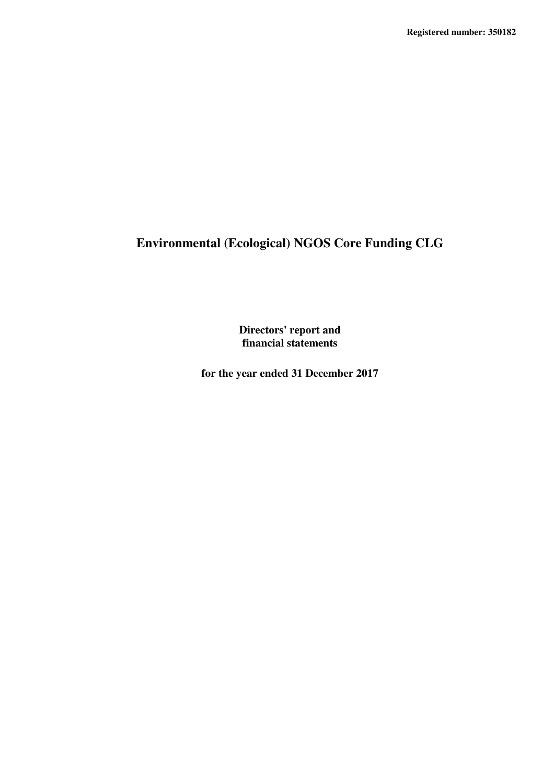**Directors' report and financial statements**

**for the year ended 31 December 2017**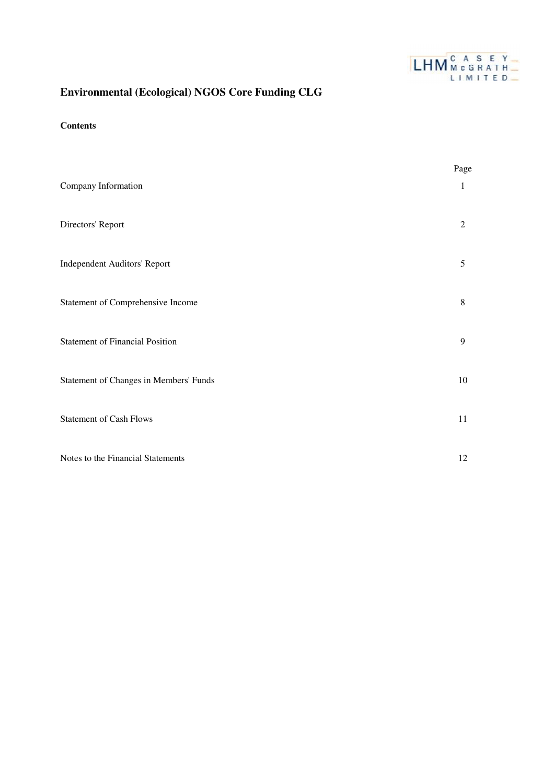

### **Contents**

|                                        | Page           |
|----------------------------------------|----------------|
| Company Information                    | 1              |
| Directors' Report                      | $\overline{c}$ |
| Independent Auditors' Report           | 5              |
| Statement of Comprehensive Income      | 8              |
| <b>Statement of Financial Position</b> | 9              |
| Statement of Changes in Members' Funds | $10\,$         |
| <b>Statement of Cash Flows</b>         | 11             |
| Notes to the Financial Statements      | 12             |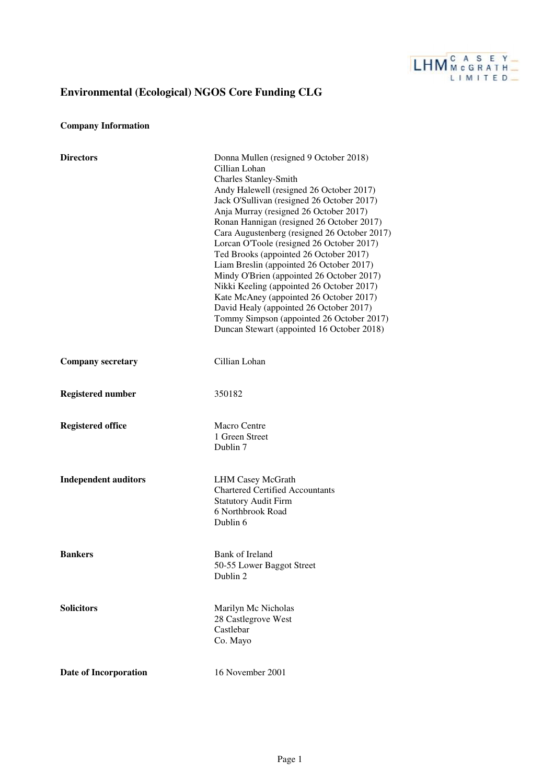

## **Company Information**

| <b>Directors</b>            | Donna Mullen (resigned 9 October 2018)<br>Cillian Lohan<br><b>Charles Stanley-Smith</b><br>Andy Halewell (resigned 26 October 2017)<br>Jack O'Sullivan (resigned 26 October 2017)<br>Anja Murray (resigned 26 October 2017)<br>Ronan Hannigan (resigned 26 October 2017)<br>Cara Augustenberg (resigned 26 October 2017)<br>Lorcan O'Toole (resigned 26 October 2017)<br>Ted Brooks (appointed 26 October 2017)<br>Liam Breslin (appointed 26 October 2017)<br>Mindy O'Brien (appointed 26 October 2017)<br>Nikki Keeling (appointed 26 October 2017)<br>Kate McAney (appointed 26 October 2017)<br>David Healy (appointed 26 October 2017)<br>Tommy Simpson (appointed 26 October 2017)<br>Duncan Stewart (appointed 16 October 2018) |
|-----------------------------|----------------------------------------------------------------------------------------------------------------------------------------------------------------------------------------------------------------------------------------------------------------------------------------------------------------------------------------------------------------------------------------------------------------------------------------------------------------------------------------------------------------------------------------------------------------------------------------------------------------------------------------------------------------------------------------------------------------------------------------|
| <b>Company secretary</b>    | Cillian Lohan                                                                                                                                                                                                                                                                                                                                                                                                                                                                                                                                                                                                                                                                                                                          |
| <b>Registered number</b>    | 350182                                                                                                                                                                                                                                                                                                                                                                                                                                                                                                                                                                                                                                                                                                                                 |
| <b>Registered office</b>    | Macro Centre<br>1 Green Street<br>Dublin 7                                                                                                                                                                                                                                                                                                                                                                                                                                                                                                                                                                                                                                                                                             |
| <b>Independent auditors</b> | <b>LHM Casey McGrath</b><br><b>Chartered Certified Accountants</b><br><b>Statutory Audit Firm</b><br>6 Northbrook Road<br>Dublin 6                                                                                                                                                                                                                                                                                                                                                                                                                                                                                                                                                                                                     |
| <b>Bankers</b>              | Bank of Ireland<br>50-55 Lower Baggot Street<br>Dublin 2                                                                                                                                                                                                                                                                                                                                                                                                                                                                                                                                                                                                                                                                               |
| <b>Solicitors</b>           | Marilyn Mc Nicholas<br>28 Castlegrove West<br>Castlebar<br>Co. Mayo                                                                                                                                                                                                                                                                                                                                                                                                                                                                                                                                                                                                                                                                    |
| Date of Incorporation       | 16 November 2001                                                                                                                                                                                                                                                                                                                                                                                                                                                                                                                                                                                                                                                                                                                       |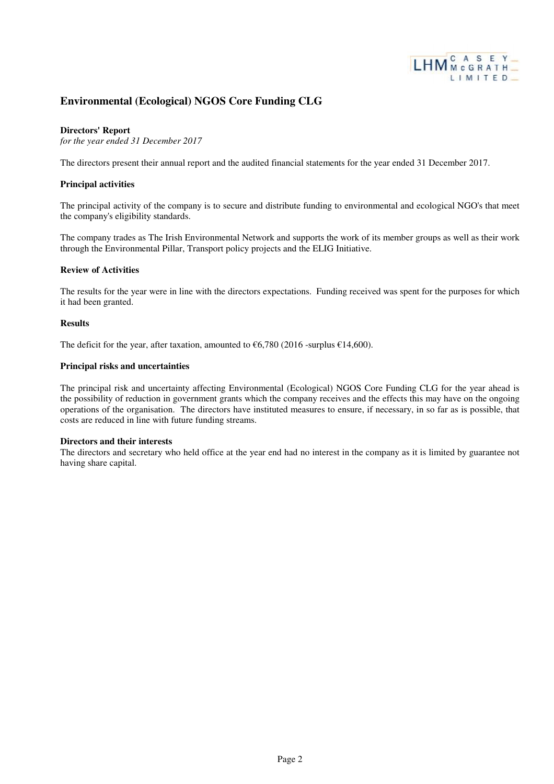

### **Directors' Report**

*for the year ended 31 December 2017*

The directors present their annual report and the audited financial statements for the year ended 31 December 2017.

#### **Principal activities**

The principal activity of the company is to secure and distribute funding to environmental and ecological NGO's that meet the company's eligibility standards.

The company trades as The Irish Environmental Network and supports the work of its member groups as well as their work through the Environmental Pillar, Transport policy projects and the ELIG Initiative.

#### **Review of Activities**

The results for the year were in line with the directors expectations. Funding received was spent for the purposes for which it had been granted.

#### **Results**

The deficit for the year, after taxation, amounted to  $\epsilon$ 6,780 (2016 -surplus  $\epsilon$ 14,600).

### **Principal risks and uncertainties**

The principal risk and uncertainty affecting Environmental (Ecological) NGOS Core Funding CLG for the year ahead is the possibility of reduction in government grants which the company receives and the effects this may have on the ongoing operations of the organisation. The directors have instituted measures to ensure, if necessary, in so far as is possible, that costs are reduced in line with future funding streams.

#### **Directors and their interests**

The directors and secretary who held office at the year end had no interest in the company as it is limited by guarantee not having share capital.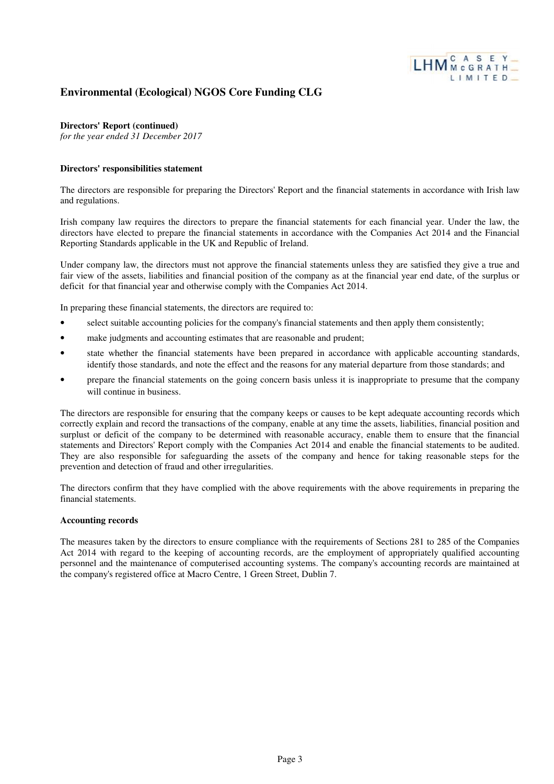

### **Directors' Report (continued)**

*for the year ended 31 December 2017*

### **Directors' responsibilities statement**

The directors are responsible for preparing the Directors' Report and the financial statements in accordance with Irish law and regulations.

Irish company law requires the directors to prepare the financial statements for each financial year. Under the law, the directors have elected to prepare the financial statements in accordance with the Companies Act 2014 and the Financial Reporting Standards applicable in the UK and Republic of Ireland.

Under company law, the directors must not approve the financial statements unless they are satisfied they give a true and fair view of the assets, liabilities and financial position of the company as at the financial year end date, of the surplus or deficit for that financial year and otherwise comply with the Companies Act 2014.

In preparing these financial statements, the directors are required to:

- select suitable accounting policies for the company's financial statements and then apply them consistently;
- make judgments and accounting estimates that are reasonable and prudent;
- state whether the financial statements have been prepared in accordance with applicable accounting standards, identify those standards, and note the effect and the reasons for any material departure from those standards; and
- prepare the financial statements on the going concern basis unless it is inappropriate to presume that the company will continue in business.

The directors are responsible for ensuring that the company keeps or causes to be kept adequate accounting records which correctly explain and record the transactions of the company, enable at any time the assets, liabilities, financial position and surplust or deficit of the company to be determined with reasonable accuracy, enable them to ensure that the financial statements and Directors' Report comply with the Companies Act 2014 and enable the financial statements to be audited. They are also responsible for safeguarding the assets of the company and hence for taking reasonable steps for the prevention and detection of fraud and other irregularities.

The directors confirm that they have complied with the above requirements with the above requirements in preparing the financial statements.

### **Accounting records**

The measures taken by the directors to ensure compliance with the requirements of Sections 281 to 285 of the Companies Act 2014 with regard to the keeping of accounting records, are the employment of appropriately qualified accounting personnel and the maintenance of computerised accounting systems. The company's accounting records are maintained at the company's registered office at Macro Centre, 1 Green Street, Dublin 7.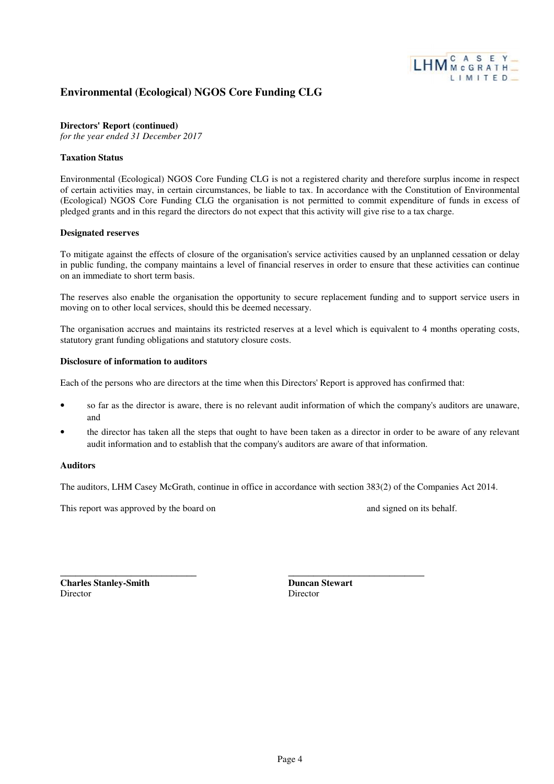

### **Directors' Report (continued)**

*for the year ended 31 December 2017*

### **Taxation Status**

Environmental (Ecological) NGOS Core Funding CLG is not a registered charity and therefore surplus income in respect of certain activities may, in certain circumstances, be liable to tax. In accordance with the Constitution of Environmental (Ecological) NGOS Core Funding CLG the organisation is not permitted to commit expenditure of funds in excess of pledged grants and in this regard the directors do not expect that this activity will give rise to a tax charge.

### **Designated reserves**

To mitigate against the effects of closure of the organisation's service activities caused by an unplanned cessation or delay in public funding, the company maintains a level of financial reserves in order to ensure that these activities can continue on an immediate to short term basis.

The reserves also enable the organisation the opportunity to secure replacement funding and to support service users in moving on to other local services, should this be deemed necessary.

The organisation accrues and maintains its restricted reserves at a level which is equivalent to 4 months operating costs, statutory grant funding obligations and statutory closure costs.

#### **Disclosure of information to auditors**

Each of the persons who are directors at the time when this Directors' Report is approved has confirmed that:

- so far as the director is aware, there is no relevant audit information of which the company's auditors are unaware, and
- the director has taken all the steps that ought to have been taken as a director in order to be aware of any relevant audit information and to establish that the company's auditors are aware of that information.

### **Auditors**

The auditors, LHM Casey McGrath, continue in office in accordance with section 383(2) of the Companies Act 2014.

This report was approved by the board on and signed on and signed on its behalf.

\_\_\_\_\_\_\_\_\_\_\_\_\_\_\_\_\_\_\_\_\_\_\_\_\_\_\_

**Charles Stanley-Smith** Director

**Duncan Stewart** Director

\_\_\_\_\_\_\_\_\_\_\_\_\_\_\_\_\_\_\_\_\_\_\_\_\_\_\_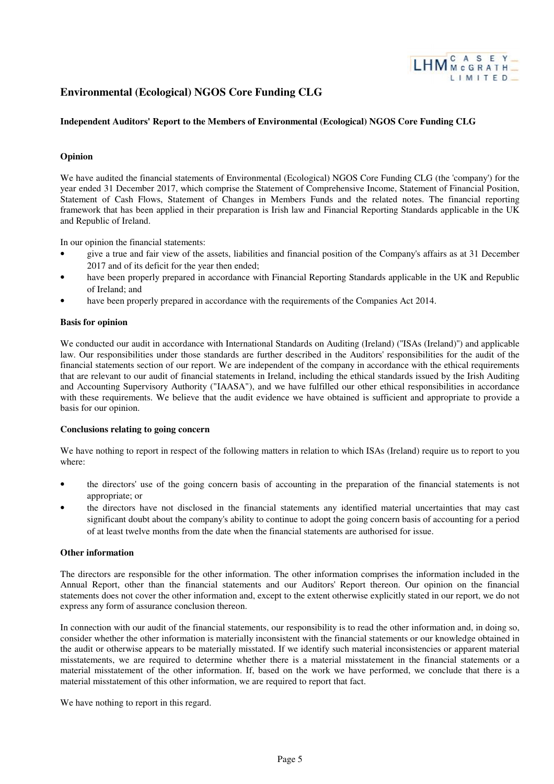

### **Independent Auditors' Report to the Members of Environmental (Ecological) NGOS Core Funding CLG**

### **Opinion**

We have audited the financial statements of Environmental (Ecological) NGOS Core Funding CLG (the 'company') for the year ended 31 December 2017, which comprise the Statement of Comprehensive Income, Statement of Financial Position, Statement of Cash Flows, Statement of Changes in Members Funds and the related notes. The financial reporting framework that has been applied in their preparation is Irish law and Financial Reporting Standards applicable in the UK and Republic of Ireland.

In our opinion the financial statements:

- give a true and fair view of the assets, liabilities and financial position of the Company's affairs as at 31 December 2017 and of its deficit for the year then ended;
- have been properly prepared in accordance with Financial Reporting Standards applicable in the UK and Republic of Ireland; and
- have been properly prepared in accordance with the requirements of the Companies Act 2014.

#### **Basis for opinion**

We conducted our audit in accordance with International Standards on Auditing (Ireland) ("ISAs (Ireland)") and applicable law. Our responsibilities under those standards are further described in the Auditors' responsibilities for the audit of the financial statements section of our report. We are independent of the company in accordance with the ethical requirements that are relevant to our audit of financial statements in Ireland, including the ethical standards issued by the Irish Auditing and Accounting Supervisory Authority ("IAASA"), and we have fulfilled our other ethical responsibilities in accordance with these requirements. We believe that the audit evidence we have obtained is sufficient and appropriate to provide a basis for our opinion.

#### **Conclusions relating to going concern**

We have nothing to report in respect of the following matters in relation to which ISAs (Ireland) require us to report to you where:

- the directors' use of the going concern basis of accounting in the preparation of the financial statements is not appropriate; or
- the directors have not disclosed in the financial statements any identified material uncertainties that may cast significant doubt about the company's ability to continue to adopt the going concern basis of accounting for a period of at least twelve months from the date when the financial statements are authorised for issue.

### **Other information**

The directors are responsible for the other information. The other information comprises the information included in the Annual Report, other than the financial statements and our Auditors' Report thereon. Our opinion on the financial statements does not cover the other information and, except to the extent otherwise explicitly stated in our report, we do not express any form of assurance conclusion thereon.

In connection with our audit of the financial statements, our responsibility is to read the other information and, in doing so, consider whether the other information is materially inconsistent with the financial statements or our knowledge obtained in the audit or otherwise appears to be materially misstated. If we identify such material inconsistencies or apparent material misstatements, we are required to determine whether there is a material misstatement in the financial statements or a material misstatement of the other information. If, based on the work we have performed, we conclude that there is a material misstatement of this other information, we are required to report that fact.

We have nothing to report in this regard.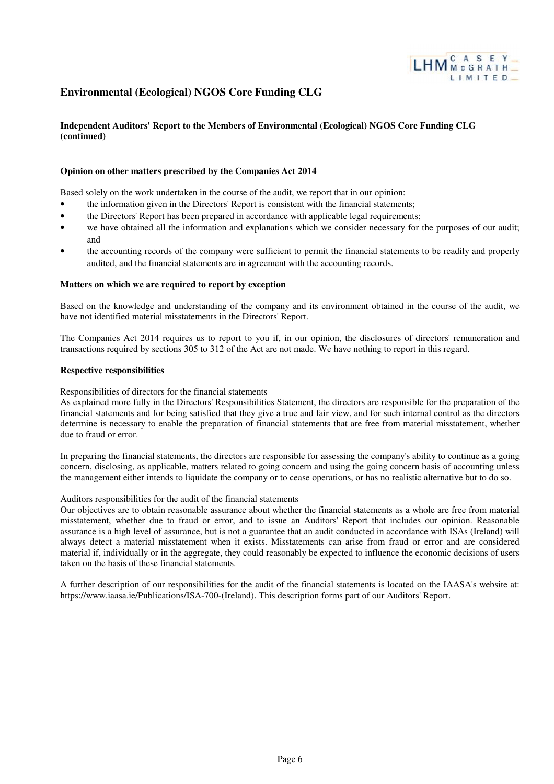

### **Independent Auditors' Report to the Members of Environmental (Ecological) NGOS Core Funding CLG (continued)**

#### **Opinion on other matters prescribed by the Companies Act 2014**

Based solely on the work undertaken in the course of the audit, we report that in our opinion:

- the information given in the Directors' Report is consistent with the financial statements;
- the Directors' Report has been prepared in accordance with applicable legal requirements;
- we have obtained all the information and explanations which we consider necessary for the purposes of our audit; and
- the accounting records of the company were sufficient to permit the financial statements to be readily and properly audited, and the financial statements are in agreement with the accounting records.

#### **Matters on which we are required to report by exception**

Based on the knowledge and understanding of the company and its environment obtained in the course of the audit, we have not identified material misstatements in the Directors' Report.

The Companies Act 2014 requires us to report to you if, in our opinion, the disclosures of directors' remuneration and transactions required by sections 305 to 312 of the Act are not made. We have nothing to report in this regard.

#### **Respective responsibilities**

Responsibilities of directors for the financial statements

As explained more fully in the Directors' Responsibilities Statement, the directors are responsible for the preparation of the financial statements and for being satisfied that they give a true and fair view, and for such internal control as the directors determine is necessary to enable the preparation of financial statements that are free from material misstatement, whether due to fraud or error.

In preparing the financial statements, the directors are responsible for assessing the company's ability to continue as a going concern, disclosing, as applicable, matters related to going concern and using the going concern basis of accounting unless the management either intends to liquidate the company or to cease operations, or has no realistic alternative but to do so.

#### Auditors responsibilities for the audit of the financial statements

Our objectives are to obtain reasonable assurance about whether the financial statements as a whole are free from material misstatement, whether due to fraud or error, and to issue an Auditors' Report that includes our opinion. Reasonable assurance is a high level of assurance, but is not a guarantee that an audit conducted in accordance with ISAs (Ireland) will always detect a material misstatement when it exists. Misstatements can arise from fraud or error and are considered material if, individually or in the aggregate, they could reasonably be expected to influence the economic decisions of users taken on the basis of these financial statements.

A further description of our responsibilities for the audit of the financial statements is located on the IAASA's website at: https://www.iaasa.ie/Publications/ISA-700-(Ireland). This description forms part of our Auditors' Report.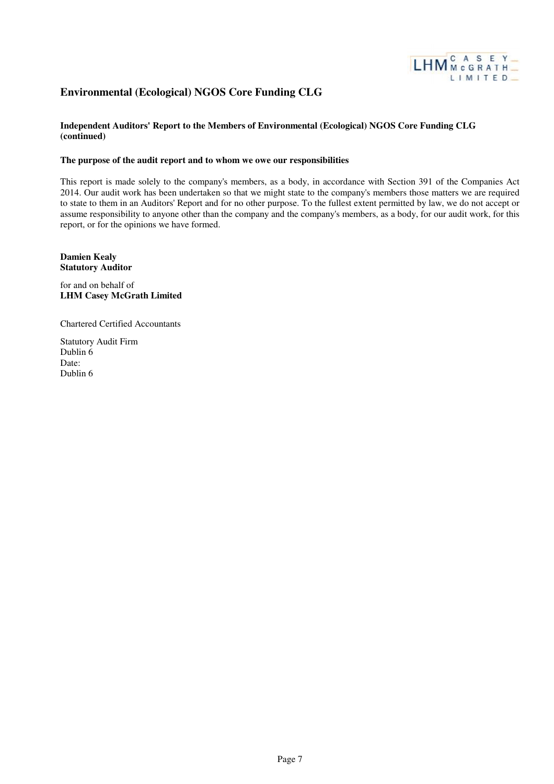

### **Independent Auditors' Report to the Members of Environmental (Ecological) NGOS Core Funding CLG (continued)**

#### **The purpose of the audit report and to whom we owe our responsibilities**

This report is made solely to the company's members, as a body, in accordance with Section 391 of the Companies Act 2014. Our audit work has been undertaken so that we might state to the company's members those matters we are required to state to them in an Auditors' Report and for no other purpose. To the fullest extent permitted by law, we do not accept or assume responsibility to anyone other than the company and the company's members, as a body, for our audit work, for this report, or for the opinions we have formed.

**Damien Kealy Statutory Auditor**

for and on behalf of **LHM Casey McGrath Limited**

Chartered Certified Accountants

Statutory Audit Firm Dublin 6 Date: Dublin 6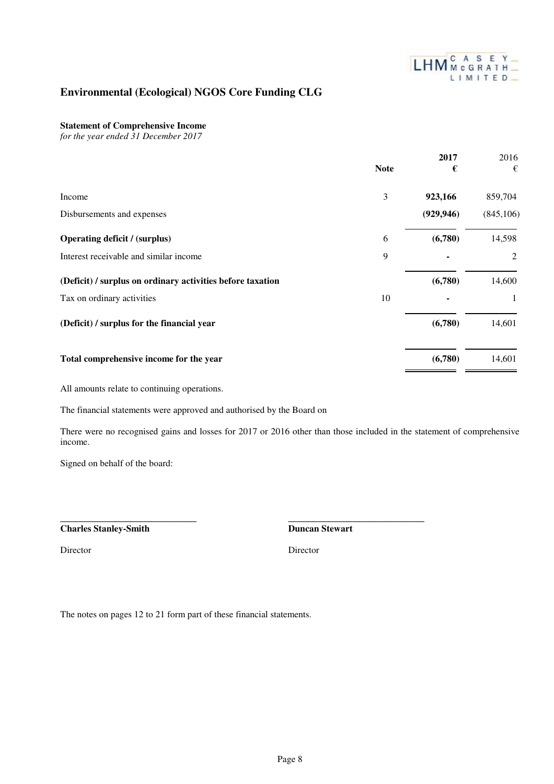

### **Statement of Comprehensive Income**

*for the year ended 31 December 2017*

|                                                            | <b>Note</b> | 2017<br>€  | 2016<br>€  |
|------------------------------------------------------------|-------------|------------|------------|
| Income                                                     | 3           | 923,166    | 859,704    |
| Disbursements and expenses                                 |             | (929, 946) | (845, 106) |
| <b>Operating deficit / (surplus)</b>                       | 6           | (6,780)    | 14,598     |
| Interest receivable and similar income                     | 9           |            | 2          |
| (Deficit) / surplus on ordinary activities before taxation |             | (6,780)    | 14,600     |
| Tax on ordinary activities                                 | 10          |            | 1          |
| (Deficit) / surplus for the financial year                 |             | (6,780)    | 14,601     |
| Total comprehensive income for the year                    |             | (6,780)    | 14,601     |

All amounts relate to continuing operations.

The financial statements were approved and authorised by the Board on

There were no recognised gains and losses for 2017 or 2016 other than those included in the statement of comprehensive income.

Signed on behalf of the board:

\_\_\_\_\_\_\_\_\_\_\_\_\_\_\_\_\_\_\_\_\_\_\_\_\_\_\_

**Charles Stanley-Smith**

**Duncan Stewart**

\_\_\_\_\_\_\_\_\_\_\_\_\_\_\_\_\_\_\_\_\_\_\_\_\_\_\_

Director Director Director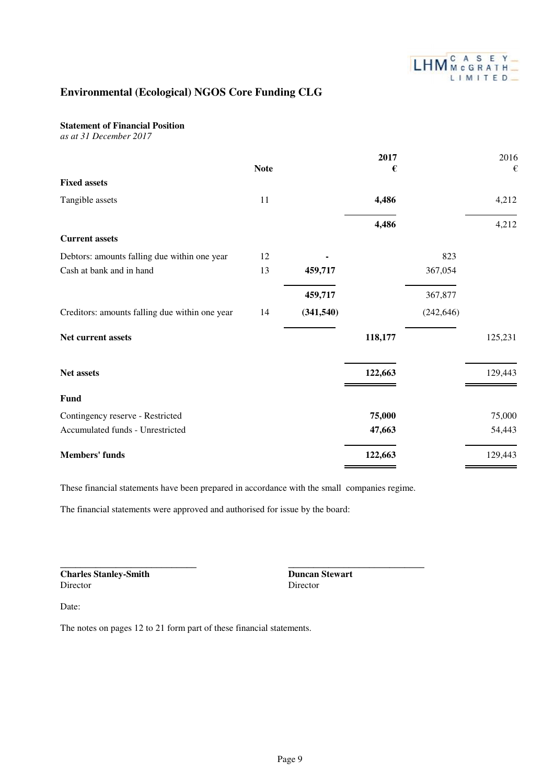

### **Statement of Financial Position**

*as at 31 December 2017*

|                                                |             |            | 2017    |            | 2016    |
|------------------------------------------------|-------------|------------|---------|------------|---------|
|                                                | <b>Note</b> |            | €       |            | €       |
| <b>Fixed assets</b>                            |             |            |         |            |         |
| Tangible assets                                | 11          |            | 4,486   |            | 4,212   |
|                                                |             |            | 4,486   |            | 4,212   |
| <b>Current assets</b>                          |             |            |         |            |         |
| Debtors: amounts falling due within one year   | 12          |            |         | 823        |         |
| Cash at bank and in hand                       | 13          | 459,717    |         | 367,054    |         |
|                                                |             | 459,717    |         | 367,877    |         |
| Creditors: amounts falling due within one year | 14          | (341, 540) |         | (242, 646) |         |
| Net current assets                             |             |            | 118,177 |            | 125,231 |
| Net assets                                     |             |            | 122,663 |            | 129,443 |
| Fund                                           |             |            |         |            |         |
| Contingency reserve - Restricted               |             |            | 75,000  |            | 75,000  |
| Accumulated funds - Unrestricted               |             |            | 47,663  |            | 54,443  |
| <b>Members' funds</b>                          |             |            | 122,663 |            | 129,443 |

These financial statements have been prepared in accordance with the small companies regime.

The financial statements were approved and authorised for issue by the board:

**Charles Stanley-Smith**

\_\_\_\_\_\_\_\_\_\_\_\_\_\_\_\_\_\_\_\_\_\_\_\_\_\_\_

**Duncan Stewart** Director

\_\_\_\_\_\_\_\_\_\_\_\_\_\_\_\_\_\_\_\_\_\_\_\_\_\_\_

Date: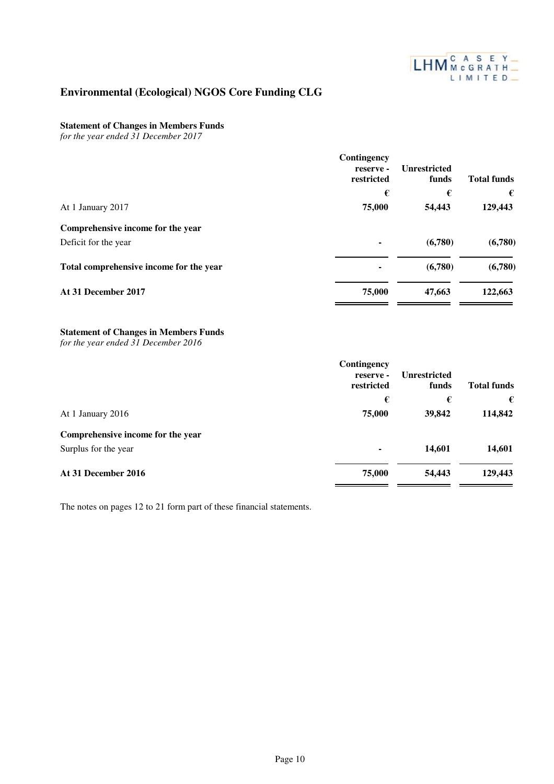

### **Statement of Changes in Members Funds**

*for the year ended 31 December 2017*

|                                         | Contingency<br>reserve -<br>restricted | <b>Unrestricted</b><br>funds | <b>Total funds</b> |
|-----------------------------------------|----------------------------------------|------------------------------|--------------------|
|                                         | €                                      | €                            | €                  |
| At 1 January 2017                       | 75,000                                 | 54,443                       | 129,443            |
| Comprehensive income for the year       |                                        |                              |                    |
| Deficit for the year                    | ۰                                      | (6,780)                      | (6,780)            |
| Total comprehensive income for the year | ٠                                      | (6,780)                      | (6,780)            |
| At 31 December 2017                     | 75,000                                 | 47,663                       | 122,663            |

### **Statement of Changes in Members Funds**

*for the year ended 31 December 2016*

|                                   | Contingency<br>reserve -<br>restricted | <b>Unrestricted</b><br>funds | <b>Total funds</b> |
|-----------------------------------|----------------------------------------|------------------------------|--------------------|
|                                   | €                                      | €                            | €                  |
| At 1 January 2016                 | 75,000                                 | 39,842                       | 114,842            |
| Comprehensive income for the year |                                        |                              |                    |
| Surplus for the year              | ٠                                      | 14,601                       | 14,601             |
| At 31 December 2016               | 75,000                                 | 54,443                       | 129,443            |
|                                   |                                        |                              |                    |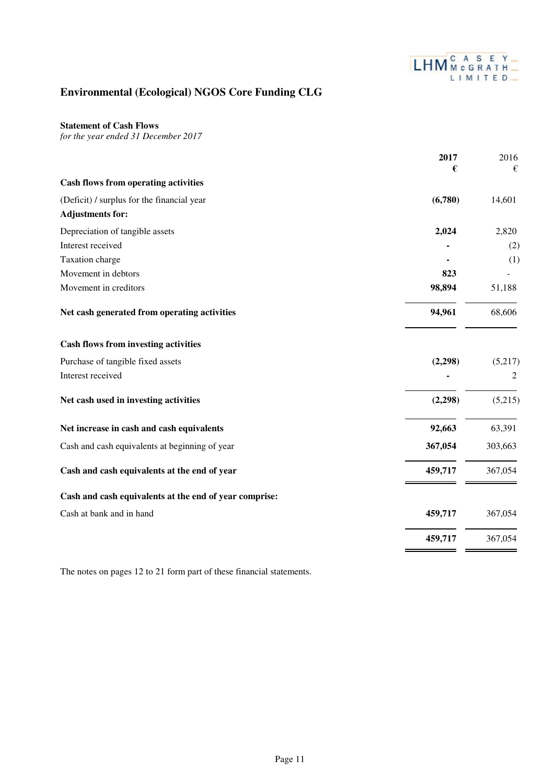

### **Statement of Cash Flows**

*for the year ended 31 December 2017*

| <b>Cash flows from operating activities</b><br>(Deficit) / surplus for the financial year<br>(6,780)<br>14,601<br><b>Adjustments for:</b><br>Depreciation of tangible assets<br>2,024<br>2,820<br>Interest received<br>(2)<br>Taxation charge<br>(1)<br>Movement in debtors<br>823<br>Movement in creditors<br>98,894<br>51,188<br>94,961<br>Net cash generated from operating activities<br>68,606<br><b>Cash flows from investing activities</b><br>Purchase of tangible fixed assets<br>(2, 298)<br>(5,217)<br>Interest received<br>2<br>Net cash used in investing activities<br>(2, 298)<br>(5,215)<br>Net increase in cash and cash equivalents<br>92,663<br>63,391<br>303,663<br>Cash and cash equivalents at beginning of year<br>367,054<br>459,717<br>Cash and cash equivalents at the end of year<br>367,054<br>Cash and cash equivalents at the end of year comprise:<br>Cash at bank and in hand<br>459,717<br>367,054<br>459,717<br>367,054 | 2017 | 2016 |
|-----------------------------------------------------------------------------------------------------------------------------------------------------------------------------------------------------------------------------------------------------------------------------------------------------------------------------------------------------------------------------------------------------------------------------------------------------------------------------------------------------------------------------------------------------------------------------------------------------------------------------------------------------------------------------------------------------------------------------------------------------------------------------------------------------------------------------------------------------------------------------------------------------------------------------------------------------------|------|------|
|                                                                                                                                                                                                                                                                                                                                                                                                                                                                                                                                                                                                                                                                                                                                                                                                                                                                                                                                                           | €    | €    |
|                                                                                                                                                                                                                                                                                                                                                                                                                                                                                                                                                                                                                                                                                                                                                                                                                                                                                                                                                           |      |      |
|                                                                                                                                                                                                                                                                                                                                                                                                                                                                                                                                                                                                                                                                                                                                                                                                                                                                                                                                                           |      |      |
|                                                                                                                                                                                                                                                                                                                                                                                                                                                                                                                                                                                                                                                                                                                                                                                                                                                                                                                                                           |      |      |
|                                                                                                                                                                                                                                                                                                                                                                                                                                                                                                                                                                                                                                                                                                                                                                                                                                                                                                                                                           |      |      |
|                                                                                                                                                                                                                                                                                                                                                                                                                                                                                                                                                                                                                                                                                                                                                                                                                                                                                                                                                           |      |      |
|                                                                                                                                                                                                                                                                                                                                                                                                                                                                                                                                                                                                                                                                                                                                                                                                                                                                                                                                                           |      |      |
|                                                                                                                                                                                                                                                                                                                                                                                                                                                                                                                                                                                                                                                                                                                                                                                                                                                                                                                                                           |      |      |
|                                                                                                                                                                                                                                                                                                                                                                                                                                                                                                                                                                                                                                                                                                                                                                                                                                                                                                                                                           |      |      |
|                                                                                                                                                                                                                                                                                                                                                                                                                                                                                                                                                                                                                                                                                                                                                                                                                                                                                                                                                           |      |      |
|                                                                                                                                                                                                                                                                                                                                                                                                                                                                                                                                                                                                                                                                                                                                                                                                                                                                                                                                                           |      |      |
|                                                                                                                                                                                                                                                                                                                                                                                                                                                                                                                                                                                                                                                                                                                                                                                                                                                                                                                                                           |      |      |
|                                                                                                                                                                                                                                                                                                                                                                                                                                                                                                                                                                                                                                                                                                                                                                                                                                                                                                                                                           |      |      |
|                                                                                                                                                                                                                                                                                                                                                                                                                                                                                                                                                                                                                                                                                                                                                                                                                                                                                                                                                           |      |      |
|                                                                                                                                                                                                                                                                                                                                                                                                                                                                                                                                                                                                                                                                                                                                                                                                                                                                                                                                                           |      |      |
|                                                                                                                                                                                                                                                                                                                                                                                                                                                                                                                                                                                                                                                                                                                                                                                                                                                                                                                                                           |      |      |
|                                                                                                                                                                                                                                                                                                                                                                                                                                                                                                                                                                                                                                                                                                                                                                                                                                                                                                                                                           |      |      |
|                                                                                                                                                                                                                                                                                                                                                                                                                                                                                                                                                                                                                                                                                                                                                                                                                                                                                                                                                           |      |      |
|                                                                                                                                                                                                                                                                                                                                                                                                                                                                                                                                                                                                                                                                                                                                                                                                                                                                                                                                                           |      |      |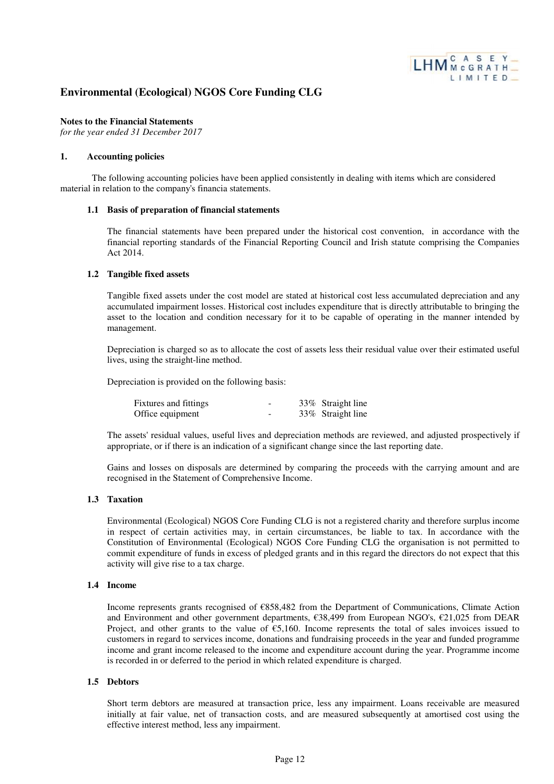

#### **Notes to the Financial Statements**

*for the year ended 31 December 2017*

#### **1. Accounting policies**

The following accounting policies have been applied consistently in dealing with items which are considered material in relation to the company's financia statements.

### **1.1 Basis of preparation of financial statements**

The financial statements have been prepared under the historical cost convention, in accordance with the financial reporting standards of the Financial Reporting Council and Irish statute comprising the Companies Act 2014.

#### **1.2 Tangible fixed assets**

Tangible fixed assets under the cost model are stated at historical cost less accumulated depreciation and any accumulated impairment losses. Historical cost includes expenditure that is directly attributable to bringing the asset to the location and condition necessary for it to be capable of operating in the manner intended by management.

Depreciation is charged so as to allocate the cost of assets less their residual value over their estimated useful lives, using the straight-line method.

Depreciation is provided on the following basis:

| Fixtures and fittings |  | 33% Straight line |
|-----------------------|--|-------------------|
| Office equipment      |  | 33% Straight line |

The assets' residual values, useful lives and depreciation methods are reviewed, and adjusted prospectively if appropriate, or if there is an indication of a significant change since the last reporting date.

Gains and losses on disposals are determined by comparing the proceeds with the carrying amount and are recognised in the Statement of Comprehensive Income.

#### **1.3 Taxation**

Environmental (Ecological) NGOS Core Funding CLG is not a registered charity and therefore surplus income in respect of certain activities may, in certain circumstances, be liable to tax. In accordance with the Constitution of Environmental (Ecological) NGOS Core Funding CLG the organisation is not permitted to commit expenditure of funds in excess of pledged grants and in this regard the directors do not expect that this activity will give rise to a tax charge.

#### **1.4 Income**

Income represents grants recognised of €858,482 from the Department of Communications, Climate Action and Environment and other government departments, €38,499 from European NGO's, €21,025 from DEAR Project, and other grants to the value of  $\epsilon$ 5,160. Income represents the total of sales invoices issued to customers in regard to services income, donations and fundraising proceeds in the year and funded programme income and grant income released to the income and expenditure account during the year. Programme income is recorded in or deferred to the period in which related expenditure is charged.

#### **1.5 Debtors**

Short term debtors are measured at transaction price, less any impairment. Loans receivable are measured initially at fair value, net of transaction costs, and are measured subsequently at amortised cost using the effective interest method, less any impairment.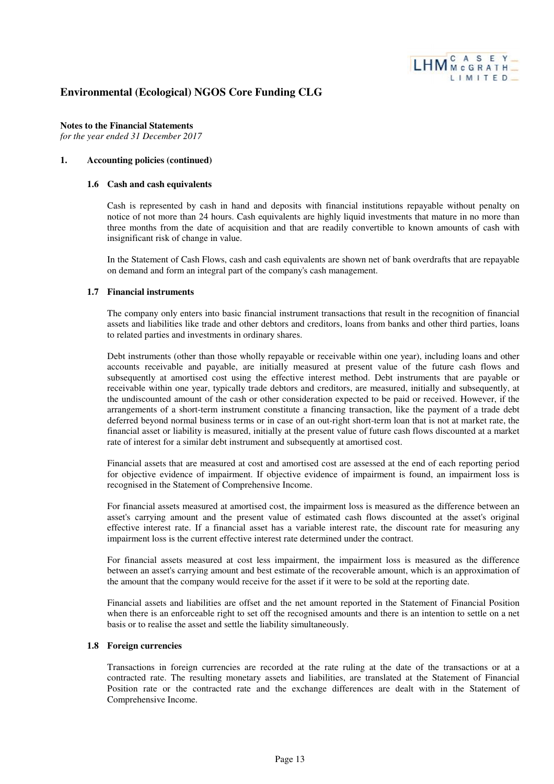

**Notes to the Financial Statements** *for the year ended 31 December 2017*

#### **1. Accounting policies (continued)**

#### **1.6 Cash and cash equivalents**

Cash is represented by cash in hand and deposits with financial institutions repayable without penalty on notice of not more than 24 hours. Cash equivalents are highly liquid investments that mature in no more than three months from the date of acquisition and that are readily convertible to known amounts of cash with insignificant risk of change in value.

In the Statement of Cash Flows, cash and cash equivalents are shown net of bank overdrafts that are repayable on demand and form an integral part of the company's cash management.

#### **1.7 Financial instruments**

The company only enters into basic financial instrument transactions that result in the recognition of financial assets and liabilities like trade and other debtors and creditors, loans from banks and other third parties, loans to related parties and investments in ordinary shares.

Debt instruments (other than those wholly repayable or receivable within one year), including loans and other accounts receivable and payable, are initially measured at present value of the future cash flows and subsequently at amortised cost using the effective interest method. Debt instruments that are payable or receivable within one year, typically trade debtors and creditors, are measured, initially and subsequently, at the undiscounted amount of the cash or other consideration expected to be paid or received. However, if the arrangements of a short-term instrument constitute a financing transaction, like the payment of a trade debt deferred beyond normal business terms or in case of an out-right short-term loan that is not at market rate, the financial asset or liability is measured, initially at the present value of future cash flows discounted at a market rate of interest for a similar debt instrument and subsequently at amortised cost.

Financial assets that are measured at cost and amortised cost are assessed at the end of each reporting period for objective evidence of impairment. If objective evidence of impairment is found, an impairment loss is recognised in the Statement of Comprehensive Income.

For financial assets measured at amortised cost, the impairment loss is measured as the difference between an asset's carrying amount and the present value of estimated cash flows discounted at the asset's original effective interest rate. If a financial asset has a variable interest rate, the discount rate for measuring any impairment loss is the current effective interest rate determined under the contract.

For financial assets measured at cost less impairment, the impairment loss is measured as the difference between an asset's carrying amount and best estimate of the recoverable amount, which is an approximation of the amount that the company would receive for the asset if it were to be sold at the reporting date.

Financial assets and liabilities are offset and the net amount reported in the Statement of Financial Position when there is an enforceable right to set off the recognised amounts and there is an intention to settle on a net basis or to realise the asset and settle the liability simultaneously.

### **1.8 Foreign currencies**

Transactions in foreign currencies are recorded at the rate ruling at the date of the transactions or at a contracted rate. The resulting monetary assets and liabilities, are translated at the Statement of Financial Position rate or the contracted rate and the exchange differences are dealt with in the Statement of Comprehensive Income.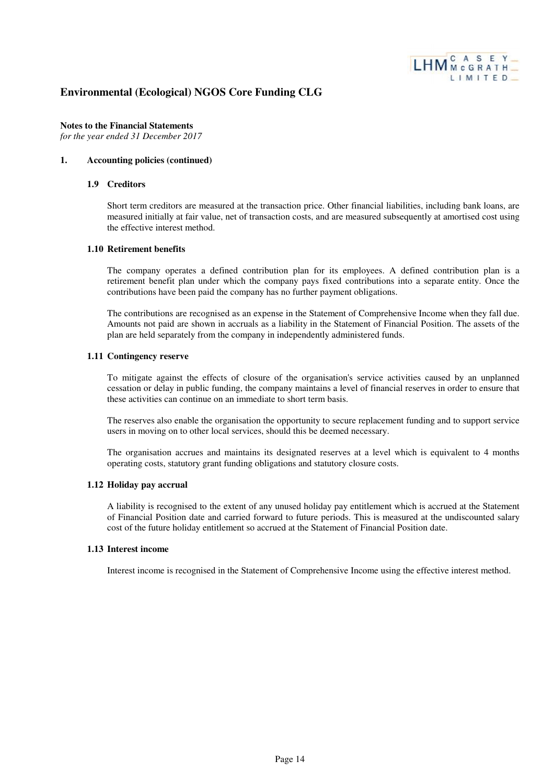

**Notes to the Financial Statements** *for the year ended 31 December 2017*

#### **1. Accounting policies (continued)**

#### **1.9 Creditors**

Short term creditors are measured at the transaction price. Other financial liabilities, including bank loans, are measured initially at fair value, net of transaction costs, and are measured subsequently at amortised cost using the effective interest method.

#### **1.10 Retirement benefits**

The company operates a defined contribution plan for its employees. A defined contribution plan is a retirement benefit plan under which the company pays fixed contributions into a separate entity. Once the contributions have been paid the company has no further payment obligations.

The contributions are recognised as an expense in the Statement of Comprehensive Income when they fall due. Amounts not paid are shown in accruals as a liability in the Statement of Financial Position. The assets of the plan are held separately from the company in independently administered funds.

#### **1.11 Contingency reserve**

To mitigate against the effects of closure of the organisation's service activities caused by an unplanned cessation or delay in public funding, the company maintains a level of financial reserves in order to ensure that these activities can continue on an immediate to short term basis.

The reserves also enable the organisation the opportunity to secure replacement funding and to support service users in moving on to other local services, should this be deemed necessary.

The organisation accrues and maintains its designated reserves at a level which is equivalent to 4 months operating costs, statutory grant funding obligations and statutory closure costs.

#### **1.12 Holiday pay accrual**

A liability is recognised to the extent of any unused holiday pay entitlement which is accrued at the Statement of Financial Position date and carried forward to future periods. This is measured at the undiscounted salary cost of the future holiday entitlement so accrued at the Statement of Financial Position date.

#### **1.13 Interest income**

Interest income is recognised in the Statement of Comprehensive Income using the effective interest method.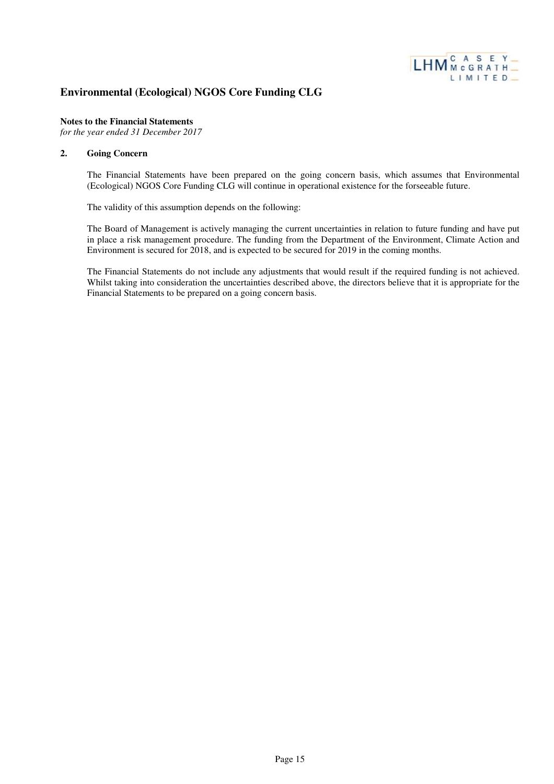

### **Notes to the Financial Statements**

*for the year ended 31 December 2017*

#### **2. Going Concern**

The Financial Statements have been prepared on the going concern basis, which assumes that Environmental (Ecological) NGOS Core Funding CLG will continue in operational existence for the forseeable future.

The validity of this assumption depends on the following:

The Board of Management is actively managing the current uncertainties in relation to future funding and have put in place a risk management procedure. The funding from the Department of the Environment, Climate Action and Environment is secured for 2018, and is expected to be secured for 2019 in the coming months.

The Financial Statements do not include any adjustments that would result if the required funding is not achieved. Whilst taking into consideration the uncertainties described above, the directors believe that it is appropriate for the Financial Statements to be prepared on a going concern basis.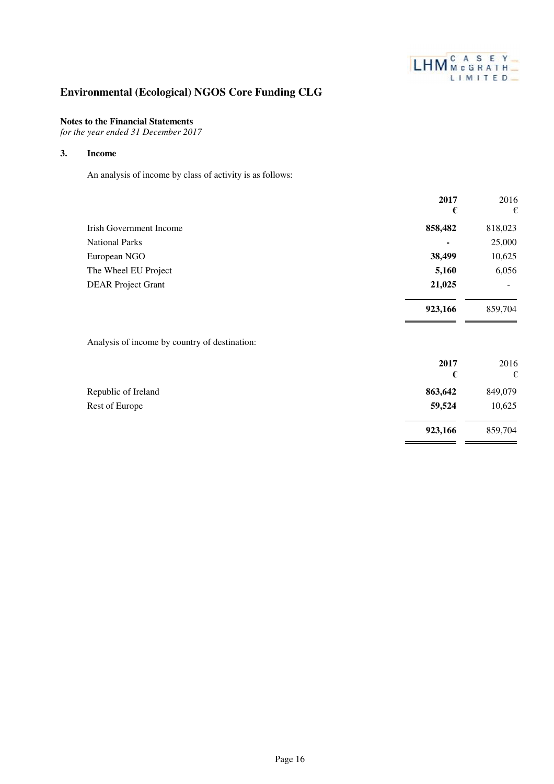

**923,166** 859,704

# **Environmental (Ecological) NGOS Core Funding CLG**

### **Notes to the Financial Statements**

*for the year ended 31 December 2017*

### **3. Income**

An analysis of income by class of activity is as follows:

|                                               | 2017      | 2016      |
|-----------------------------------------------|-----------|-----------|
|                                               | €         | €         |
| <b>Irish Government Income</b>                | 858,482   | 818,023   |
| <b>National Parks</b>                         |           | 25,000    |
| European NGO                                  | 38,499    | 10,625    |
| The Wheel EU Project                          | 5,160     | 6,056     |
| <b>DEAR Project Grant</b>                     | 21,025    |           |
|                                               | 923,166   | 859,704   |
| Analysis of income by country of destination: |           |           |
|                                               | 2017<br>€ | 2016<br>€ |
| Republic of Ireland                           | 863,642   | 849,079   |
| Rest of Europe                                | 59,524    | 10,625    |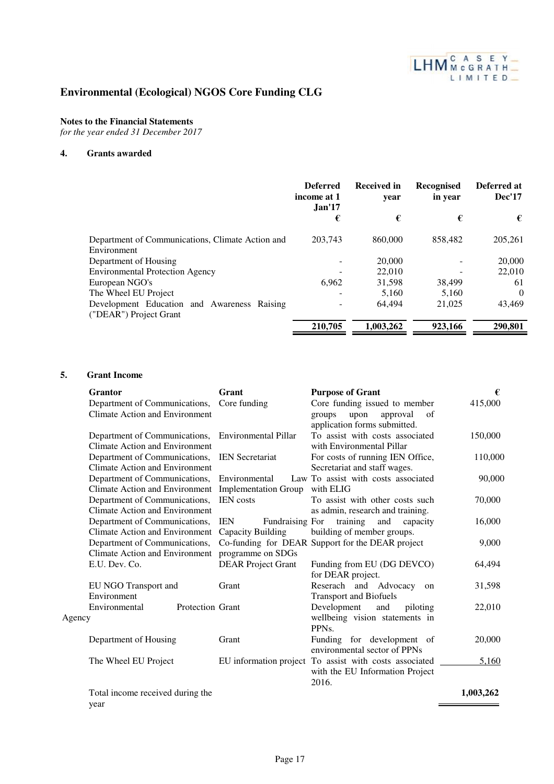

### **Notes to the Financial Statements**

*for the year ended 31 December 2017*

### **4. Grants awarded**

|                                                                       | <b>Deferred</b><br>income at 1<br>Jan <sup>17</sup> | <b>Received in</b><br>vear | <b>Recognised</b><br>in year | Deferred at<br><b>Dec'17</b> |
|-----------------------------------------------------------------------|-----------------------------------------------------|----------------------------|------------------------------|------------------------------|
|                                                                       | €                                                   | €                          | €                            | €                            |
| Department of Communications, Climate Action and<br>Environment       | 203,743                                             | 860,000                    | 858,482                      | 205,261                      |
| Department of Housing                                                 |                                                     | 20,000                     |                              | 20,000                       |
| <b>Environmental Protection Agency</b>                                |                                                     | 22,010                     |                              | 22,010                       |
| European NGO's                                                        | 6.962                                               | 31,598                     | 38.499                       | 61                           |
| The Wheel EU Project                                                  |                                                     | 5.160                      | 5.160                        | $\theta$                     |
| Development Education and Awareness Raising<br>("DEAR") Project Grant |                                                     | 64.494                     | 21,025                       | 43,469                       |
|                                                                       | 210,705                                             | 1,003,262                  | 923,166                      | 290,801                      |

### **5. Grant Income**

| <b>Grantor</b>                                                         | Grant                         | <b>Purpose of Grant</b>                                                                            | €         |
|------------------------------------------------------------------------|-------------------------------|----------------------------------------------------------------------------------------------------|-----------|
| Department of Communications,                                          | Core funding                  | Core funding issued to member                                                                      | 415,000   |
| <b>Climate Action and Environment</b>                                  |                               | approval<br>of<br>groups<br>upon<br>application forms submitted.                                   |           |
| Department of Communications,                                          | <b>Environmental Pillar</b>   | To assist with costs associated                                                                    | 150,000   |
| <b>Climate Action and Environment</b>                                  |                               | with Environmental Pillar                                                                          |           |
| Department of Communications,                                          | <b>IEN</b> Secretariat        | For costs of running IEN Office,                                                                   | 110,000   |
| <b>Climate Action and Environment</b>                                  |                               | Secretariat and staff wages.                                                                       |           |
| Department of Communications,                                          | Environmental                 | Law To assist with costs associated                                                                | 90,000    |
| <b>Climate Action and Environment</b>                                  | <b>Implementation Group</b>   | with ELIG                                                                                          |           |
| Department of Communications,<br><b>Climate Action and Environment</b> | <b>IEN</b> costs              | To assist with other costs such<br>as admin, research and training.                                | 70,000    |
| Department of Communications,                                          | <b>IEN</b><br>Fundraising For | training<br>and<br>capacity                                                                        | 16,000    |
| <b>Climate Action and Environment</b>                                  | Capacity Building             | building of member groups.                                                                         |           |
| Department of Communications,                                          |                               | Co-funding for DEAR Support for the DEAR project                                                   | 9,000     |
| Climate Action and Environment                                         | programme on SDGs             |                                                                                                    |           |
| E.U. Dev. Co.                                                          | <b>DEAR Project Grant</b>     | Funding from EU (DG DEVCO)                                                                         | 64,494    |
|                                                                        |                               | for DEAR project.                                                                                  |           |
| EU NGO Transport and                                                   | Grant                         | Reserach and Advocacy<br>on                                                                        | 31,598    |
| Environment                                                            |                               | <b>Transport and Biofuels</b>                                                                      |           |
| Environmental<br><b>Protection Grant</b><br>Agency                     |                               | Development<br>and<br>piloting<br>wellbeing vision statements in<br>PPN <sub>s</sub> .             | 22,010    |
| Department of Housing                                                  | Grant                         | Funding for development of<br>environmental sector of PPNs                                         | 20,000    |
| The Wheel EU Project                                                   |                               | EU information project To assist with costs associated<br>with the EU Information Project<br>2016. | 5,160     |
| Total income received during the                                       |                               |                                                                                                    | 1,003,262 |
| year                                                                   |                               |                                                                                                    |           |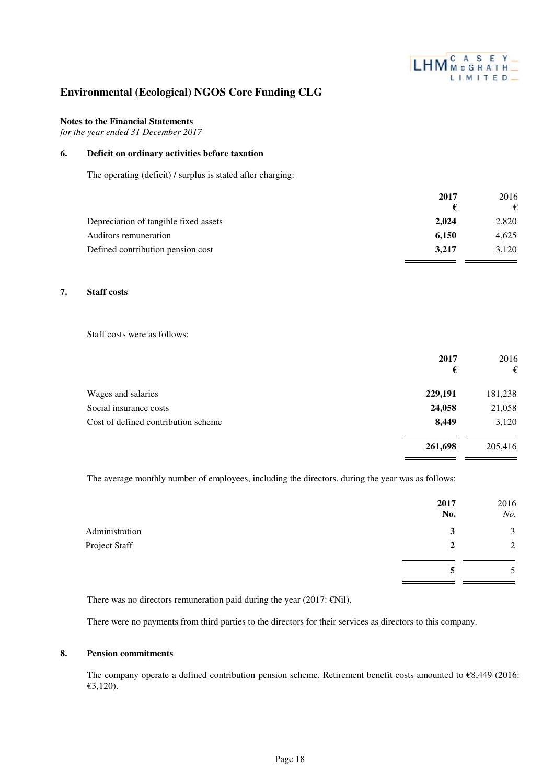

### **Notes to the Financial Statements**

*for the year ended 31 December 2017*

### **6. Deficit on ordinary activities before taxation**

The operating (deficit) / surplus is stated after charging:

|                                       | 2017  | 2016  |
|---------------------------------------|-------|-------|
|                                       | €     |       |
| Depreciation of tangible fixed assets | 2.024 | 2,820 |
| Auditors remuneration                 | 6.150 | 4.625 |
| Defined contribution pension cost     | 3.217 | 3.120 |
|                                       |       |       |

### **7. Staff costs**

Staff costs were as follows:

|                                     | 2017<br>€ | 2016<br>€ |
|-------------------------------------|-----------|-----------|
| Wages and salaries                  | 229,191   | 181,238   |
| Social insurance costs              | 24,058    | 21,058    |
| Cost of defined contribution scheme | 8,449     | 3,120     |
|                                     | 261,698   | 205,416   |

The average monthly number of employees, including the directors, during the year was as follows:

|                | 2017<br>No.  | 2016<br>No. |
|----------------|--------------|-------------|
| Administration | 3            | 3           |
| Project Staff  | $\mathbf{2}$ | 2           |
|                |              | 5           |

There was no directors remuneration paid during the year (2017:  $\epsilon$ Nil).

There were no payments from third parties to the directors for their services as directors to this company.

#### **8. Pension commitments**

The company operate a defined contribution pension scheme. Retirement benefit costs amounted to €8,449 (2016: €3,120).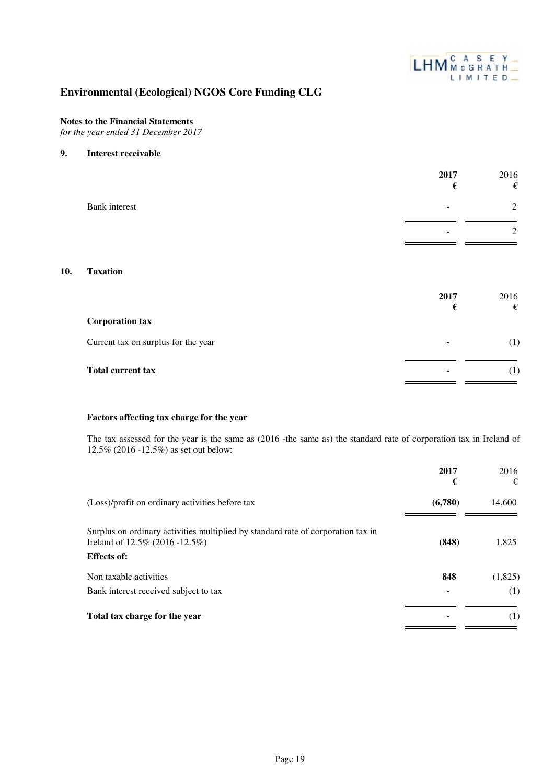

### **Notes to the Financial Statements**

*for the year ended 31 December 2017*

#### **9. Interest receivable**

|               | 2017<br>€ | 2016 |
|---------------|-----------|------|
| Bank interest | ۰         | 2    |
|               | ۰         | 2    |
|               |           |      |

### **10. Taxation**

|                                     | 2017<br>€                | 2016<br>€        |
|-------------------------------------|--------------------------|------------------|
| <b>Corporation tax</b>              |                          |                  |
| Current tax on surplus for the year | $\sim$                   | $\left(1\right)$ |
| <b>Total current tax</b>            | $\overline{\phantom{a}}$ | (1)              |

### **Factors affecting tax charge for the year**

The tax assessed for the year is the same as (2016 -the same as) the standard rate of corporation tax in Ireland of 12.5% (2016 -12.5%) as set out below:

|                                                                                                                                          | 2017<br>€ | 2016<br>€ |
|------------------------------------------------------------------------------------------------------------------------------------------|-----------|-----------|
| (Loss)/profit on ordinary activities before tax                                                                                          | (6,780)   | 14,600    |
| Surplus on ordinary activities multiplied by standard rate of corporation tax in<br>Ireland of 12.5% (2016 -12.5%)<br><b>Effects of:</b> | (848)     | 1,825     |
| Non taxable activities                                                                                                                   | 848       | (1,825)   |
| Bank interest received subject to tax                                                                                                    |           | (1)       |
| Total tax charge for the year                                                                                                            |           | (1)       |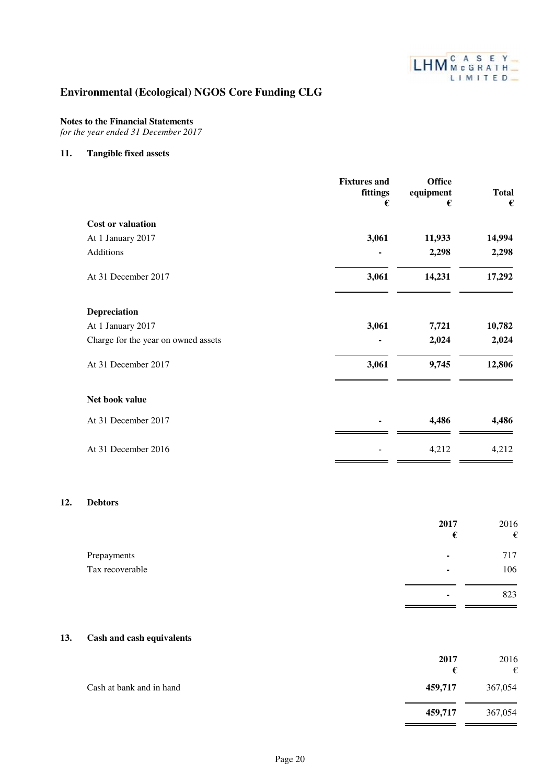

**459,717** 367,054

# **Environmental (Ecological) NGOS Core Funding CLG**

### **Notes to the Financial Statements**

*for the year ended 31 December 2017*

### **11. Tangible fixed assets**

 $12.$ 

|     |                                     | <b>Fixtures and</b><br>fittings<br>$\pmb{\epsilon}$ | <b>Office</b><br>equipment<br>$\pmb{\epsilon}$ | <b>Total</b><br>€ |
|-----|-------------------------------------|-----------------------------------------------------|------------------------------------------------|-------------------|
|     | <b>Cost or valuation</b>            |                                                     |                                                |                   |
|     | At 1 January 2017                   | 3,061                                               | 11,933                                         | 14,994            |
|     | Additions                           |                                                     | 2,298                                          | 2,298             |
|     | At 31 December 2017                 | 3,061                                               | 14,231                                         | 17,292            |
|     | Depreciation                        |                                                     |                                                |                   |
|     | At 1 January 2017                   | 3,061                                               | 7,721                                          | 10,782            |
|     | Charge for the year on owned assets |                                                     | 2,024                                          | 2,024             |
|     | At 31 December 2017                 | 3,061                                               | 9,745                                          | 12,806            |
|     | Net book value                      |                                                     |                                                |                   |
|     | At 31 December 2017                 |                                                     | 4,486                                          | 4,486             |
|     | At 31 December 2016                 |                                                     | 4,212                                          | 4,212             |
| 12. | <b>Debtors</b>                      |                                                     |                                                |                   |
|     |                                     |                                                     | 2017<br>$\pmb{\epsilon}$                       | 2016<br>€         |
|     | Prepayments                         |                                                     |                                                | 717               |
|     | Tax recoverable                     |                                                     |                                                | 106               |
|     |                                     |                                                     |                                                | 823               |
| 13. | <b>Cash and cash equivalents</b>    |                                                     |                                                |                   |
|     |                                     |                                                     | 2017<br>$\pmb{\epsilon}$                       | 2016<br>€         |
|     | Cash at bank and in hand            |                                                     | 459,717                                        | 367,054           |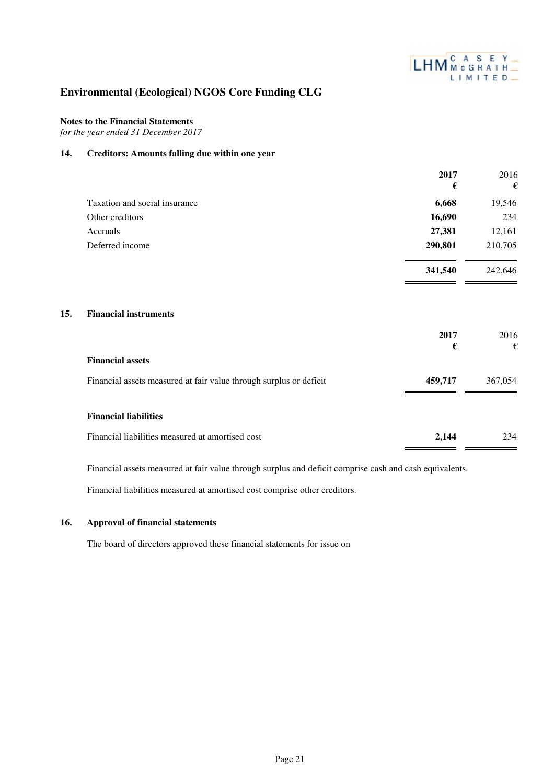

### **Notes to the Financial Statements**

*for the year ended 31 December 2017*

### **14. Creditors: Amounts falling due within one year**

|                                                                    | 2017<br>€ | 2016<br>€ |
|--------------------------------------------------------------------|-----------|-----------|
| Taxation and social insurance                                      | 6,668     | 19,546    |
| Other creditors                                                    | 16,690    | 234       |
| Accruals                                                           | 27,381    | 12,161    |
| Deferred income                                                    | 290,801   | 210,705   |
|                                                                    | 341,540   | 242,646   |
| <b>Financial instruments</b><br>15.                                | 2017      | 2016      |
|                                                                    | €         | €         |
| <b>Financial assets</b>                                            |           |           |
| Financial assets measured at fair value through surplus or deficit | 459,717   | 367,054   |
| <b>Financial liabilities</b>                                       |           |           |
| Financial liabilities measured at amortised cost                   | 2,144     | 234       |

Financial assets measured at fair value through surplus and deficit comprise cash and cash equivalents.

Financial liabilities measured at amortised cost comprise other creditors.

#### **16. Approval of financial statements**

The board of directors approved these financial statements for issue on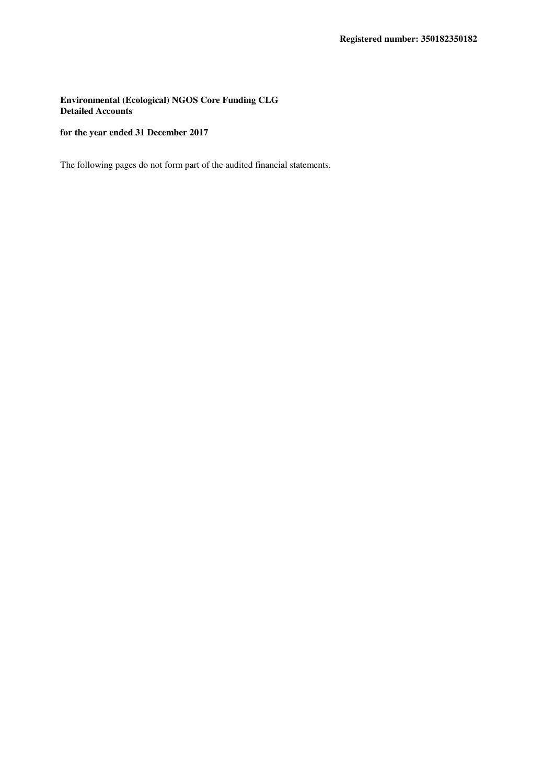**Environmental (Ecological) NGOS Core Funding CLG Detailed Accounts**

### **for the year ended 31 December 2017**

The following pages do not form part of the audited financial statements.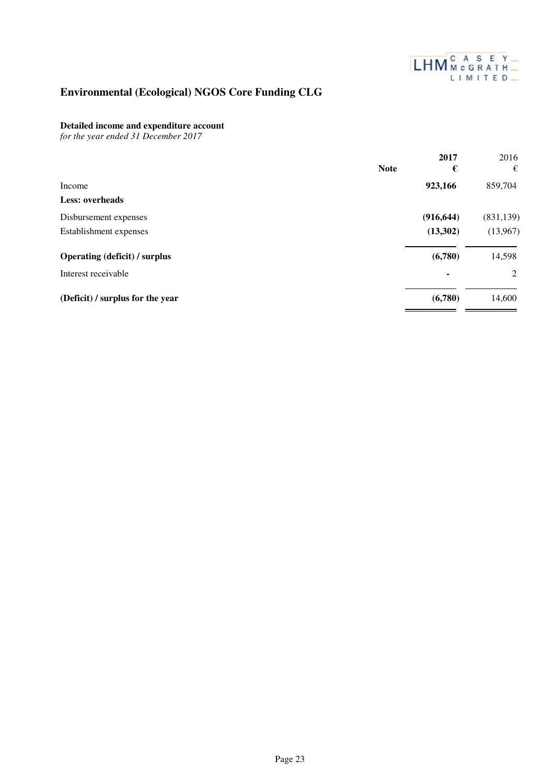

### **Detailed income and expenditure account**

*for the year ended 31 December 2017*

|                                      |             | 2017       | 2016       |
|--------------------------------------|-------------|------------|------------|
|                                      | <b>Note</b> | €          | €          |
| Income                               |             | 923,166    | 859,704    |
| <b>Less: overheads</b>               |             |            |            |
| Disbursement expenses                |             | (916, 644) | (831, 139) |
| Establishment expenses               |             | (13,302)   | (13,967)   |
| <b>Operating (deficit) / surplus</b> |             | (6,780)    | 14,598     |
| Interest receivable                  |             |            | 2          |
| (Deficit) / surplus for the year     |             | (6,780)    | 14,600     |
|                                      |             |            |            |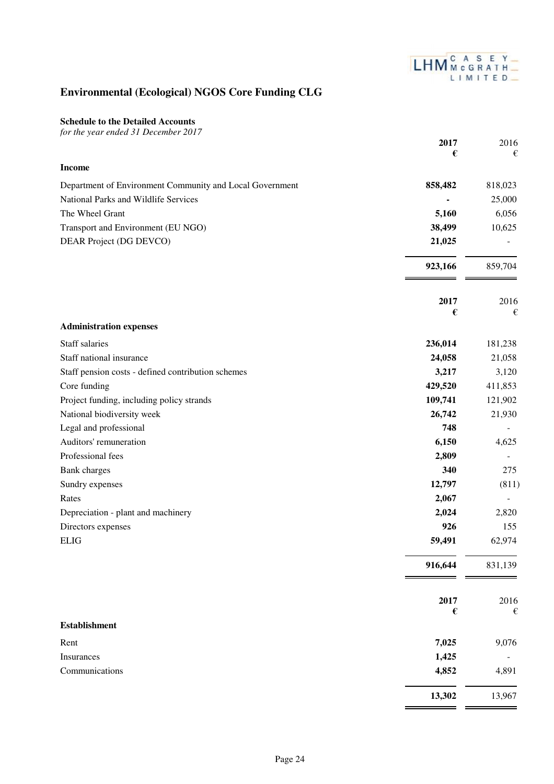

 $\equiv$   $\equiv$ 

# **Environmental (Ecological) NGOS Core Funding CLG**

**Schedule to the Detailed Accounts**

| for the year ended 31 December 2017                      |                  |           |
|----------------------------------------------------------|------------------|-----------|
|                                                          | 2017             | 2016      |
| <b>Income</b>                                            | €                | €         |
| Department of Environment Community and Local Government | 858,482          | 818,023   |
| National Parks and Wildlife Services                     |                  | 25,000    |
| The Wheel Grant                                          | 5,160            | 6,056     |
| Transport and Environment (EU NGO)                       | 38,499           | 10,625    |
| DEAR Project (DG DEVCO)                                  |                  |           |
|                                                          | 21,025           |           |
|                                                          | 923,166          | 859,704   |
|                                                          | 2017<br>€        | 2016<br>€ |
| <b>Administration expenses</b>                           |                  |           |
| Staff salaries                                           | 236,014          | 181,238   |
| Staff national insurance                                 | 24,058           | 21,058    |
| Staff pension costs - defined contribution schemes       | 3,217            | 3,120     |
| Core funding                                             | 429,520          | 411,853   |
| Project funding, including policy strands                | 109,741          | 121,902   |
| National biodiversity week                               | 26,742           | 21,930    |
| Legal and professional                                   | 748              |           |
| Auditors' remuneration                                   | 6,150            | 4,625     |
| Professional fees                                        | 2,809            |           |
| <b>Bank</b> charges                                      | 340              | 275       |
| Sundry expenses                                          | 12,797           | (811)     |
| Rates                                                    | 2,067            |           |
| Depreciation - plant and machinery                       | 2,024            | 2,820     |
| Directors expenses                                       | 926              | 155       |
| <b>ELIG</b>                                              | 59,491           | 62,974    |
|                                                          | 916,644          | 831,139   |
|                                                          | 2017             | 2016      |
| <b>Establishment</b>                                     | $\pmb{\epsilon}$ | €         |
| Rent                                                     | 7,025            | 9,076     |
| Insurances                                               | 1,425            |           |
| Communications                                           | 4,852            | 4,891     |
|                                                          | 13,302           | 13,967    |